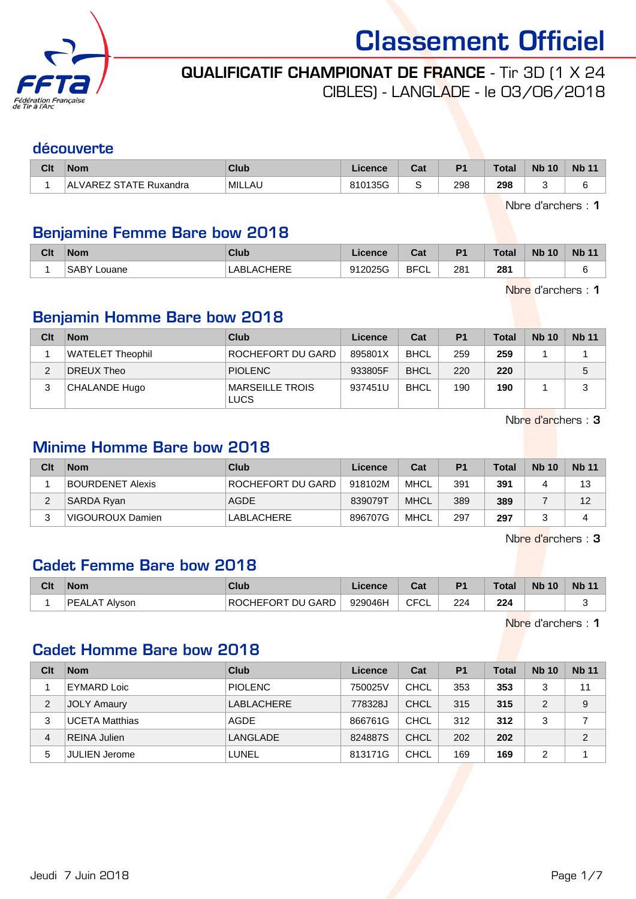

# QUALIFICATIF CHAMPIONAT DE FRANCE - Tir 3D (1 X 24

CIBLES) - LANGLADE - le 03/06/2018

#### découverte

| Clt | <b>Nom</b>                         | Club          | .icence | ◠っィ<br>val | D <sub>4</sub> | <b>Total</b> | <b>Nb 10</b> | Nb <sub>1</sub> |
|-----|------------------------------------|---------------|---------|------------|----------------|--------------|--------------|-----------------|
|     | ' STATE Ruxandra<br>_VAREZ<br>' AL | <b>MILLAU</b> | 810135G |            | 298            | 298          |              |                 |

Nbre d'archers : 1

### Benjamine Femme Bare bow 2018

| Clt | <b>Nom</b>            | Club              | .icence | $R_{\rm{min}}$<br><b>va</b> r | D <sub>1</sub> | Total | <b>Nb</b><br>10 כ | <b>Nb</b><br>$\overline{A}$ |
|-----|-----------------------|-------------------|---------|-------------------------------|----------------|-------|-------------------|-----------------------------|
|     | <b>SABY</b><br>Louane | <b>LABLACHERE</b> | 912025G | <b>BFCL</b>                   | 281            | 281   |                   |                             |

Nbre d'archers : 1

# Benjamin Homme Bare bow 2018

| Clt | <b>Nom</b>       | Club                           | Licence | Cat         | P <sub>1</sub> | <b>Total</b> | <b>Nb 10</b> | <b>Nb 11</b> |
|-----|------------------|--------------------------------|---------|-------------|----------------|--------------|--------------|--------------|
|     | WATELET Theophil | <b>ROCHEFORT DU GARD</b>       | 895801X | <b>BHCL</b> | 259            | 259          |              |              |
|     | DREUX Theo       | <b>PIOLENC</b>                 | 933805F | <b>BHCL</b> | 220            | 220          |              | 5            |
| 3   | CHALANDE Hugo    | MARSEILLE TROIS<br><b>LUCS</b> | 937451U | <b>BHCL</b> | 190            | 190          |              | 3            |

Nbre d'archers : 3

#### Minime Homme Bare bow 2018

| Clt | <b>Nom</b>              | Club                | Licence | Cat         | P <sub>1</sub> | <b>Total</b> | <b>Nb 10</b> | <b>Nb</b> 11 |
|-----|-------------------------|---------------------|---------|-------------|----------------|--------------|--------------|--------------|
|     | <b>BOURDENET Alexis</b> | I ROCHEFORT DU GARD | 918102M | <b>MHCL</b> | 391            | 391          |              | 13           |
| ∠   | SARDA Ryan              | <b>AGDE</b>         | 839079T | <b>MHCL</b> | 389            | 389          |              | 12           |
|     | VIGOUROUX Damien        | LABLACHERE          | 896707G | <b>MHCL</b> | 297            | 297          |              |              |

Nbre d'archers : 3

#### Cadet Femme Bare bow 2018

| Clt | <b>Nom</b>              | Club                     | .icence | יה<br>ua    | P <sub>1</sub> | <b>Total</b> | <b>Nb 10</b> | Nb <sub>1</sub> |
|-----|-------------------------|--------------------------|---------|-------------|----------------|--------------|--------------|-----------------|
|     | <b>PEALAT</b><br>Alvson | <b>ROCHEFORT DU GARD</b> | 929046H | <b>CFCL</b> | 224            | 224          |              |                 |

Nbre d'archers : 1

### Cadet Homme Bare bow 2018

| Clt            | <b>Nom</b>            | Club           | Licence | Cat         | P <sub>1</sub> | <b>Total</b> | <b>Nb 10</b> | <b>Nb 11</b>   |
|----------------|-----------------------|----------------|---------|-------------|----------------|--------------|--------------|----------------|
|                | <b>EYMARD Loic</b>    | <b>PIOLENC</b> | 750025V | CHCL        | 353            | 353          | 3            | 11             |
| $\overline{2}$ | <b>JOLY Amaury</b>    | LABLACHERE     | 778328J | <b>CHCL</b> | 315            | 315          | 2            | 9              |
| 3              | <b>UCETA Matthias</b> | AGDE           | 866761G | CHCL        | 312            | 312          | 3            |                |
| 4              | <b>REINA Julien</b>   | LANGLADE       | 824887S | <b>CHCL</b> | 202            | 202          |              | $\overline{2}$ |
| 5              | <b>JULIEN Jerome</b>  | LUNEL          | 813171G | <b>CHCL</b> | 169            | 169          | 2            |                |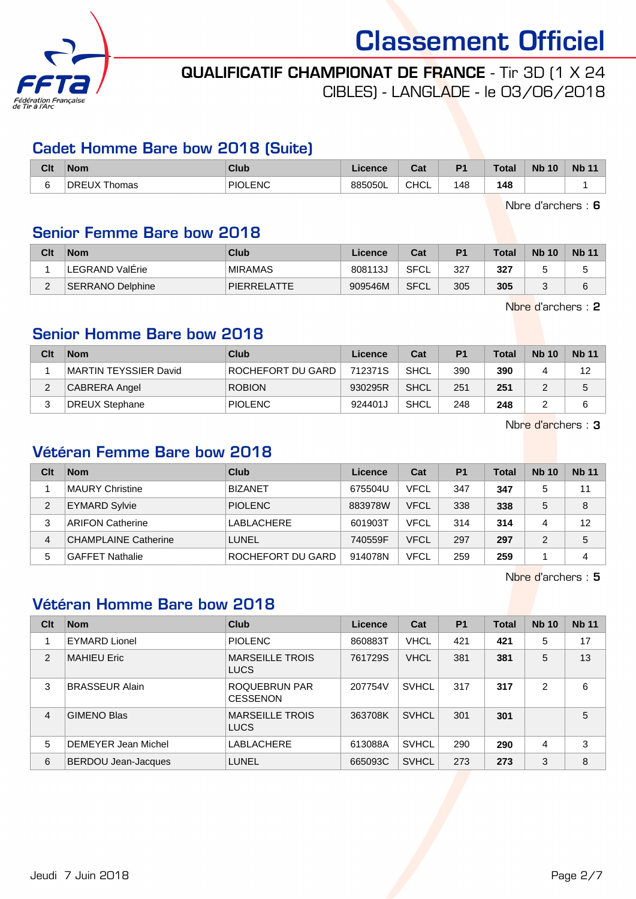

QUALIFICATIF CHAMPIONAT DE FRANCE - Tir 3D (1 X 24

CIBLES) - LANGLADE - le 03/06/2018

#### Cadet Homme Bare bow 2018 (Suite)

| Clt                           | <b>Nom</b>          | Club    | Licence | ົາປ<br>⊍aι  | D <sub>1</sub> | <b>Total</b>  | <b>N<sub>b</sub></b><br>10 | <b>Nb 11</b> |
|-------------------------------|---------------------|---------|---------|-------------|----------------|---------------|----------------------------|--------------|
| $\overline{\phantom{0}}$<br>∼ | DREUX TH<br>homas ، | PIOLENC | 885050L | <b>CHCL</b> | 148            | 148<br>$\sim$ |                            |              |

Nbre d'archers : 6

#### Senior Femme Bare bow 2018

| Clt | <b>Nom</b>               | Club           | Licence | Cat  | P <sub>1</sub> | Total | <b>Nb 10</b> | <b>Nb 11</b> |
|-----|--------------------------|----------------|---------|------|----------------|-------|--------------|--------------|
|     | LEGRAND ValErie          | <b>MIRAMAS</b> | 808113J | SFCL | 327            | 327   |              |              |
| _   | <b>ISERRANO Delphine</b> | PIERRELATTE    | 909546M | SFCL | 305            | 305   | ື            | 6            |

Nbre d'archers : 2

### Senior Homme Bare bow 2018

| Clt | <b>Nom</b>             | Club              | Licence | Cat  | P <sub>1</sub> | <b>Total</b> | <b>Nb 10</b> | <b>Nb 11</b> |
|-----|------------------------|-------------------|---------|------|----------------|--------------|--------------|--------------|
|     | IMARTIN TEYSSIER David | ROCHEFORT DU GARD | 712371S | SHCL | 390            | 390          |              | 12           |
| ົ   | CABRERA Angel          | <b>ROBION</b>     | 930295R | SHCL | 251            | 251          |              | 5            |
|     | DREUX Stephane         | <b>PIOLENC</b>    | 924401J | SHCL | 248            | 248          |              |              |

Nbre d'archers : 3

# Vétéran Femme Bare bow 2018

| Clt | <b>Nom</b>                  | Club              | Licence | Cat         | P <sub>1</sub> | <b>Total</b> | <b>Nb 10</b> | <b>Nb 11</b> |
|-----|-----------------------------|-------------------|---------|-------------|----------------|--------------|--------------|--------------|
|     | MAURY Christine             | <b>BIZANET</b>    | 675504U | <b>VFCL</b> | 347            | 347          | 5            | 11           |
| 2   | <b>EYMARD Sylvie</b>        | <b>PIOLENC</b>    | 883978W | VFCL        | 338            | 338          | 5            | 8            |
| 3   | <b>ARIFON Catherine</b>     | LABLACHERE        | 601903T | <b>VFCL</b> | 314            | 314          | 4            | 12           |
| 4   | <b>CHAMPLAINE Catherine</b> | LUNEL             | 740559F | <b>VFCL</b> | 297            | 297          | 2            | 5            |
| 5   | <b>GAFFET Nathalie</b>      | ROCHEFORT DU GARD | 914078N | <b>VFCL</b> | 259            | 259          |              | 4            |

Nbre d'archers : 5

## Vétéran Homme Bare bow 2018

| Clt            | <b>Nom</b>                 | <b>Club</b>                           | Licence | Cat          | <b>P1</b> | <b>Total</b> | <b>Nb 10</b>   | <b>Nb 11</b> |
|----------------|----------------------------|---------------------------------------|---------|--------------|-----------|--------------|----------------|--------------|
|                | <b>EYMARD Lionel</b>       | <b>PIOLENC</b>                        | 860883T | <b>VHCL</b>  | 421       | 421          | 5              | 17           |
| 2              | <b>MAHIEU Eric</b>         | <b>MARSEILLE TROIS</b><br><b>LUCS</b> | 761729S | <b>VHCL</b>  | 381       | 381          | 5              | 13           |
| 3              | <b>BRASSEUR Alain</b>      | ROQUEBRUN PAR<br><b>CESSENON</b>      | 207754V | <b>SVHCL</b> | 317       | 317          | $\mathfrak{p}$ | 6            |
| $\overline{4}$ | <b>GIMENO Blas</b>         | <b>MARSEILLE TROIS</b><br><b>LUCS</b> | 363708K | <b>SVHCL</b> | 301       | 301          |                | 5            |
| 5              | DEMEYER Jean Michel        | <b>LABLACHERE</b>                     | 613088A | <b>SVHCL</b> | 290       | 290          | 4              | 3            |
| 6              | <b>BERDOU Jean-Jacques</b> | LUNEL                                 | 665093C | <b>SVHCL</b> | 273       | 273          | 3              | 8            |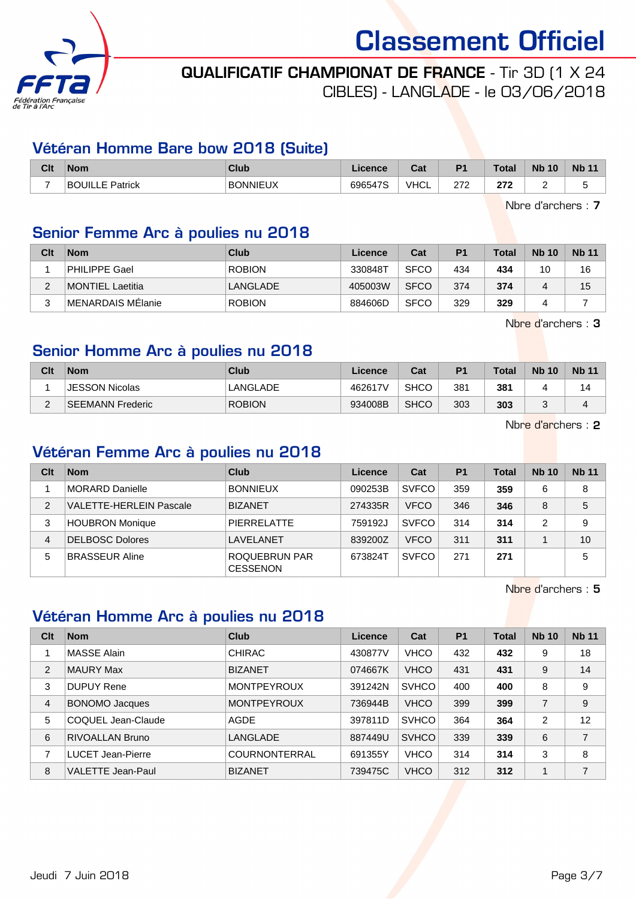

# QUALIFICATIF CHAMPIONAT DE FRANCE - Tir 3D (1 X 24

CIBLES) - LANGLADE - le 03/06/2018

### Vétéran Homme Bare bow 2018 (Suite)

| Clt | <b>Nom</b>                | Club            | Licence | r.,<br>ua   | D <sub>4</sub> | <b>Total</b> | <b>Nb</b><br>10 | <b>Nb</b> |
|-----|---------------------------|-----------------|---------|-------------|----------------|--------------|-----------------|-----------|
| -   | BC<br>ווו ור<br>F Patrick | <b>BONNIEUX</b> | 696547S | <b>VHCL</b> | つフつ<br>ے اے    | ^70<br>212   |                 | ∼         |

Nbre d'archers : 7

# Senior Femme Arc à poulies nu 2018

| Clt    | <b>Nom</b>        | Club          | Licence | Cat         | P <sub>1</sub> | Total | <b>Nb 10</b> | <b>Nb 11</b> |
|--------|-------------------|---------------|---------|-------------|----------------|-------|--------------|--------------|
|        | PHILIPPE Gael     | <b>ROBION</b> | 330848T | <b>SFCO</b> | 434            | 434   | 10           | 16           |
| C      | MONTIEL Laetitia  | LANGLADE      | 405003W | <b>SFCO</b> | 374            | 374   |              | 15           |
| ◠<br>ື | MENARDAIS MElanie | <b>ROBION</b> | 884606D | <b>SFCO</b> | 329            | 329   |              |              |

Nbre d'archers : 3

## Senior Homme Arc à poulies nu 2018

| Clt    | <b>Nom</b>              | Club          | Licence | Cat         | <b>P1</b> | <b>Total</b> | <b>Nb 10</b> | <b>Nb 11</b> |
|--------|-------------------------|---------------|---------|-------------|-----------|--------------|--------------|--------------|
|        | <b>JESSON Nicolas</b>   | LANGLADE      | 462617V | <b>SHCO</b> | 381       | 381          |              | ۱4           |
| $\sim$ | <b>SEEMANN Frederic</b> | <b>ROBION</b> | 934008B | <b>SHCO</b> | 303       | 303          | ື            |              |

Nbre d'archers : 2

# Vétéran Femme Arc à poulies nu 2018

| Clt | <b>Nom</b>              | Club                             | Licence | Cat          | P <sub>1</sub> | Total | <b>Nb 10</b> | <b>Nb 11</b> |
|-----|-------------------------|----------------------------------|---------|--------------|----------------|-------|--------------|--------------|
|     | MORARD Danielle         | <b>BONNIEUX</b>                  | 090253B | <b>SVFCO</b> | 359            | 359   | 6            | 8            |
| 2   | VALETTE-HERLEIN Pascale | <b>BIZANET</b>                   | 274335R | <b>VFCO</b>  | 346            | 346   | 8            | 5            |
| 3   | <b>HOUBRON Monique</b>  | <b>PIERRELATTE</b>               | 759192J | <b>SVFCO</b> | 314            | 314   | っ            | 9            |
| 4   | DELBOSC Dolores         | LAVELANET                        | 839200Z | <b>VFCO</b>  | 311            | 311   |              | 10           |
| 5   | <b>BRASSEUR Aline</b>   | ROQUEBRUN PAR<br><b>CESSENON</b> | 673824T | <b>SVFCO</b> | 271            | 271   |              | 5            |

Nbre d'archers : 5

### Vétéran Homme Arc à poulies nu 2018

| Clt | <b>Nom</b>               | Club                 | Licence | Cat          | P <sub>1</sub> | <b>Total</b> | <b>Nb 10</b>   | <b>Nb 11</b> |
|-----|--------------------------|----------------------|---------|--------------|----------------|--------------|----------------|--------------|
|     | <b>MASSE Alain</b>       | <b>CHIRAC</b>        | 430877V | <b>VHCO</b>  | 432            | 432          | 9              | 18           |
| 2   | <b>MAURY Max</b>         | <b>BIZANET</b>       | 074667K | <b>VHCO</b>  | 431            | 431          | 9              | 14           |
| 3   | <b>DUPUY Rene</b>        | <b>MONTPEYROUX</b>   | 391242N | <b>SVHCO</b> | 400            | 400          | 8              | 9            |
| 4   | <b>BONOMO Jacques</b>    | <b>MONTPEYROUX</b>   | 736944B | <b>VHCO</b>  | 399            | 399          | 7              | 9            |
| 5   | COQUEL Jean-Claude       | AGDE                 | 397811D | <b>SVHCO</b> | 364            | 364          | $\overline{2}$ | 12           |
| 6   | <b>RIVOALLAN Bruno</b>   | LANGLADE             | 887449U | <b>SVHCO</b> | 339            | 339          | 6              | 7            |
| 7   | <b>LUCET Jean-Pierre</b> | <b>COURNONTERRAL</b> | 691355Y | <b>VHCO</b>  | 314            | 314          | 3              | 8            |
| 8   | <b>VALETTE Jean-Paul</b> | <b>BIZANET</b>       | 739475C | <b>VHCO</b>  | 312            | 312          |                | 7            |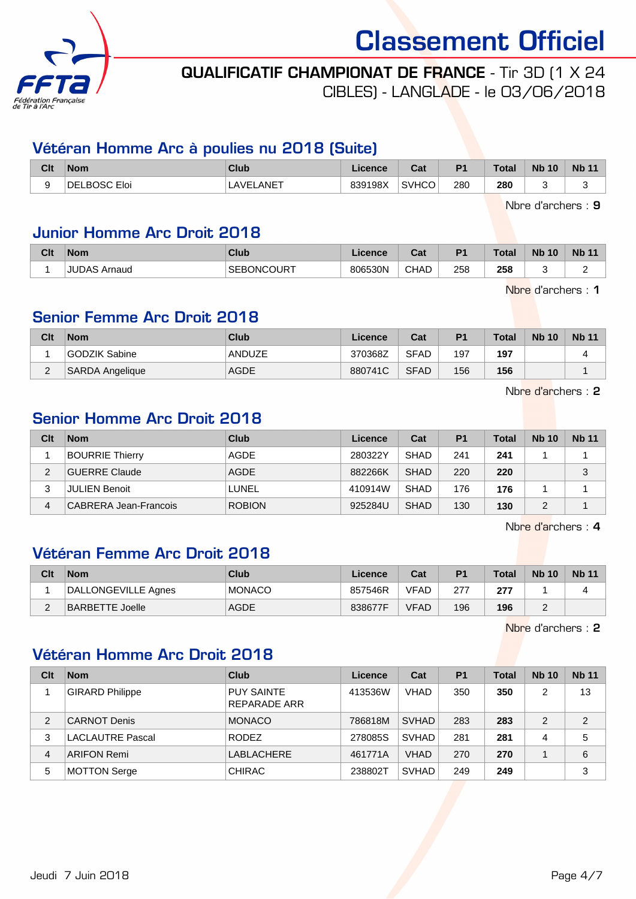

# QUALIFICATIF CHAMPIONAT DE FRANCE - Tir 3D (1 X 24

CIBLES) - LANGLADE - le 03/06/2018

### Vétéran Homme Arc à poulies nu 2018 (Suite)

| Clt | <b>Nom</b>    | <b>Club</b>        | Licence | <b>Dol</b><br>uai | D <sub>1</sub> | <b>Total</b> | <b>Nb</b><br>10 | <b>Nb</b> |
|-----|---------------|--------------------|---------|-------------------|----------------|--------------|-----------------|-----------|
|     | BOSC.<br>Eloi | <b>ANET</b><br>AVF | 839198X | <b>SVHCO</b>      | 280<br>__      | 280<br>$ -$  |                 |           |

Nbre d'archers : 9

### Junior Homme Arc Droit 2018

| Clt | <b>Nom</b>          | Club              | .icence | $R_{\rm{eff}}$<br>ual | D <sub>1</sub> | <b>Total</b> | <b>N<sub>b</sub></b><br>10 | <b>Nb 11</b> |
|-----|---------------------|-------------------|---------|-----------------------|----------------|--------------|----------------------------|--------------|
|     | <b>JUDAS Arnaud</b> | <b>SEBONCOURT</b> | 806530N | <b>CHAD</b>           | 258            | 258          |                            |              |

Nbre d'archers : 1

## Senior Femme Arc Droit 2018

| Clt | <b>Nom</b>      | Club        | Licence | Cat         | P <sub>1</sub> | <b>Total</b> | <b>Nb 10</b> | <b>Nb 11</b> |
|-----|-----------------|-------------|---------|-------------|----------------|--------------|--------------|--------------|
|     | GODZIK Sabine   | ANDUZE      | 370368Z | <b>SFAD</b> | 197            | 197          |              |              |
| ∼   | SARDA Angelique | <b>AGDE</b> | 880741C | <b>SFAD</b> | 156            | 156          |              |              |

Nbre d'archers : 2

## Senior Homme Arc Droit 2018

| Clt | <b>Nom</b>             | Club          | Licence | Cat         | P <sub>1</sub> | <b>Total</b> | <b>Nb 10</b> | <b>Nb 11</b> |
|-----|------------------------|---------------|---------|-------------|----------------|--------------|--------------|--------------|
|     | <b>BOURRIE Thierry</b> | AGDE          | 280322Y | <b>SHAD</b> | 241            | 241          |              |              |
| 2   | <b>GUERRE Claude</b>   | <b>AGDE</b>   | 882266K | <b>SHAD</b> | 220            | 220          |              | 3            |
| 3   | <b>JULIEN Benoit</b>   | LUNEL         | 410914W | <b>SHAD</b> | 176            | 176          |              |              |
| 4   | CABRERA Jean-Francois  | <b>ROBION</b> | 925284U | <b>SHAD</b> | 130            | 130          |              |              |

Nbre d'archers : 4

### Vétéran Femme Arc Droit 2018

| Clt      | <b>Nom</b>          | Club          | Licence | Cat         | P <sub>1</sub> | <b>Total</b> | <b>Nb 10</b> | <b>Nb 11</b> |
|----------|---------------------|---------------|---------|-------------|----------------|--------------|--------------|--------------|
|          | DALLONGEVILLE Agnes | <b>MONACO</b> | 857546R | <b>VFAD</b> | 277            | 277          |              |              |
| $\Omega$ | BARBETTE Joelle     | <b>AGDE</b>   | 838677F | <b>VFAD</b> | 196            | 196          |              |              |

Nbre d'archers : 2

## Vétéran Homme Arc Droit 2018

| Clt | <b>Nom</b>              | Club                              | Licence | Cat          | P <sub>1</sub> | <b>Total</b> | <b>Nb 10</b> | <b>Nb 11</b>   |
|-----|-------------------------|-----------------------------------|---------|--------------|----------------|--------------|--------------|----------------|
|     | <b>GIRARD Philippe</b>  | <b>PUY SAINTE</b><br>REPARADE ARR | 413536W | <b>VHAD</b>  | 350            | 350          | 2            | 13             |
| 2   | <b>CARNOT Denis</b>     | <b>MONACO</b>                     | 786818M | <b>SVHAD</b> | 283            | 283          | 2            | $\overline{2}$ |
| 3   | <b>LACLAUTRE Pascal</b> | <b>RODEZ</b>                      | 278085S | <b>SVHAD</b> | 281            | 281          | 4            | 5              |
| 4   | <b>ARIFON Remi</b>      | LABLACHERE                        | 461771A | <b>VHAD</b>  | 270            | 270          |              | 6              |
| 5   | <b>MOTTON Serge</b>     | <b>CHIRAC</b>                     | 238802T | <b>SVHAD</b> | 249            | 249          |              | 3              |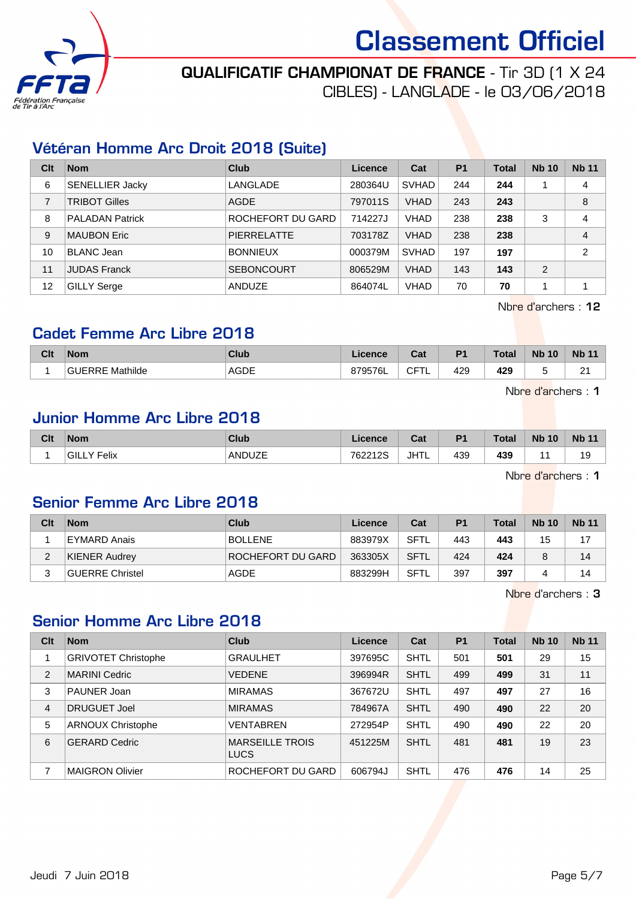

# QUALIFICATIF CHAMPIONAT DE FRANCE - Tir 3D (1 X 24

CIBLES) - LANGLADE - le 03/06/2018

### Vétéran Homme Arc Droit 2018 (Suite)

| Clt | <b>Nom</b>             | Club               | Licence | Cat          | <b>P1</b> | <b>Total</b> | <b>Nb 10</b> | <b>Nb 11</b>   |
|-----|------------------------|--------------------|---------|--------------|-----------|--------------|--------------|----------------|
| 6   | <b>SENELLIER Jacky</b> | LANGLADE           | 280364U | <b>SVHAD</b> | 244       | 244          |              | 4              |
| 7   | <b>TRIBOT Gilles</b>   | <b>AGDE</b>        | 797011S | <b>VHAD</b>  | 243       | 243          |              | 8              |
| 8   | <b>PALADAN Patrick</b> | ROCHEFORT DU GARD  | 714227J | <b>VHAD</b>  | 238       | 238          | 3            | 4              |
| 9   | <b>MAUBON Eric</b>     | <b>PIERRELATTE</b> | 703178Z | <b>VHAD</b>  | 238       | 238          |              | 4              |
| 10  | <b>BLANC Jean</b>      | <b>BONNIEUX</b>    | 000379M | <b>SVHAD</b> | 197       | 197          |              | $\overline{2}$ |
| 11  | <b>JUDAS Franck</b>    | <b>SEBONCOURT</b>  | 806529M | <b>VHAD</b>  | 143       | 143          | 2            |                |
| 12  | <b>GILLY Serge</b>     | <b>ANDUZE</b>      | 864074L | <b>VHAD</b>  | 70        | 70           |              |                |

Nbre d'archers : 12

#### Cadet Femme Arc Libre 2018

| Clt | <b>Nom</b>             | <b>Club</b> | Licence | Col.<br>val        | D <sub>4</sub> | <b>Total</b> | <b>N<sub>b</sub></b><br>10 | <b>Nb</b>   |
|-----|------------------------|-------------|---------|--------------------|----------------|--------------|----------------------------|-------------|
|     | <b>GUERRE Mathilde</b> | <b>AGDE</b> | 379576L | $\cap$<br>◡<br>. L | 429            | 429          |                            | $\sim$<br>- |

Nbre d'archers : 1

## Junior Homme Arc Libre 2018

| Clt | <b>Nom</b>      | Club                    | Licence | Cat         | P <sub>1</sub> | Total     | <b>Nb</b><br>10 | <b>Nb 11</b> |
|-----|-----------------|-------------------------|---------|-------------|----------------|-----------|-----------------|--------------|
|     | Felix<br>'GILL\ | ANDUZE<br>$\sim$ $\sim$ | 762212S | <b>JHTL</b> | 439            | 439<br>__ |                 | 19           |

Nbre d'archers : 1

#### Senior Femme Arc Libre 2018

| Clt | <b>Nom</b>             | Club              | Licence | Cat         | P <sub>1</sub> | <b>Total</b> | <b>Nb 10</b> | <b>Nb 11</b> |
|-----|------------------------|-------------------|---------|-------------|----------------|--------------|--------------|--------------|
|     | EYMARD Anais           | <b>BOLLENE</b>    | 883979X | <b>SFTL</b> | 443            | 443          | 15           |              |
|     | KIENER Audrey          | ROCHEFORT DU GARD | 363305X | <b>SFTL</b> | 424            | 424          |              | 14           |
|     | <b>GUERRE Christel</b> | AGDE              | 883299H | <b>SFTL</b> | 397            | 397          |              | 14           |

Nbre d'archers : 3

#### Senior Homme Arc Libre 2018

| Clt            | <b>Nom</b>                 | Club                                  | Licence | Cat         | P <sub>1</sub> | <b>Total</b> | <b>Nb 10</b> | <b>Nb 11</b> |
|----------------|----------------------------|---------------------------------------|---------|-------------|----------------|--------------|--------------|--------------|
|                | <b>GRIVOTET Christophe</b> | <b>GRAULHET</b>                       | 397695C | <b>SHTL</b> | 501            | 501          | 29           | 15           |
| 2              | <b>MARINI Cedric</b>       | <b>VEDENE</b>                         | 396994R | <b>SHTL</b> | 499            | 499          | 31           | 11           |
| 3              | <b>PAUNER Joan</b>         | <b>MIRAMAS</b>                        | 367672U | <b>SHTL</b> | 497            | 497          | 27           | 16           |
| $\overline{4}$ | DRUGUET Joel               | <b>MIRAMAS</b>                        | 784967A | <b>SHTL</b> | 490            | 490          | 22           | 20           |
| 5              | <b>ARNOUX Christophe</b>   | <b>VENTABREN</b>                      | 272954P | <b>SHTL</b> | 490            | 490          | 22           | 20           |
| 6              | <b>GERARD Cedric</b>       | <b>MARSEILLE TROIS</b><br><b>LUCS</b> | 451225M | <b>SHTL</b> | 481            | 481          | 19           | 23           |
|                | <b>MAIGRON Olivier</b>     | ROCHEFORT DU GARD                     | 606794J | <b>SHTL</b> | 476            | 476          | 14           | 25           |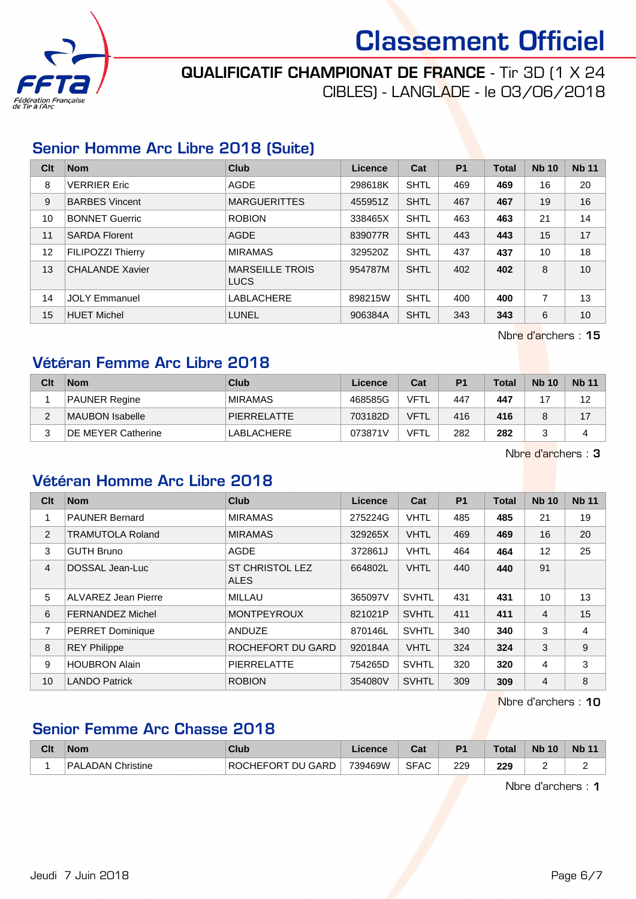

# QUALIFICATIF CHAMPIONAT DE FRANCE - Tir 3D (1 X 24

CIBLES) - LANGLADE - le 03/06/2018

### Senior Homme Arc Libre 2018 (Suite)

| Clt | <b>Nom</b>               | Club                                  | Licence | Cat         | <b>P1</b> | <b>Total</b> | <b>Nb 10</b> | <b>Nb 11</b> |
|-----|--------------------------|---------------------------------------|---------|-------------|-----------|--------------|--------------|--------------|
| 8   | <b>VERRIER Eric</b>      | <b>AGDE</b>                           | 298618K | <b>SHTL</b> | 469       | 469          | 16           | 20           |
| 9   | <b>BARBES Vincent</b>    | <b>MARGUERITTES</b>                   | 455951Z | <b>SHTL</b> | 467       | 467          | 19           | 16           |
| 10  | <b>BONNET Guerric</b>    | <b>ROBION</b>                         | 338465X | <b>SHTL</b> | 463       | 463          | 21           | 14           |
| 11  | <b>SARDA Florent</b>     | AGDE                                  | 839077R | <b>SHTL</b> | 443       | 443          | 15           | 17           |
| 12  | <b>FILIPOZZI Thierry</b> | <b>MIRAMAS</b>                        | 329520Z | <b>SHTL</b> | 437       | 437          | 10           | 18           |
| 13  | CHALANDE Xavier          | <b>MARSEILLE TROIS</b><br><b>LUCS</b> | 954787M | <b>SHTL</b> | 402       | 402          | 8            | 10           |
| 14  | JOLY Emmanuel            | <b>LABLACHERE</b>                     | 898215W | <b>SHTL</b> | 400       | 400          | 7            | 13           |
| 15  | <b>HUET Michel</b>       | <b>LUNEL</b>                          | 906384A | <b>SHTL</b> | 343       | 343          | 6            | 10           |

Nbre d'archers : 15

# Vétéran Femme Arc Libre 2018

| Clt | <b>Nom</b>                | Club           | Licence | Cat         | P <sub>1</sub> | <b>Total</b> | <b>Nb 10</b> | <b>Nb 11</b> |
|-----|---------------------------|----------------|---------|-------------|----------------|--------------|--------------|--------------|
|     | PAUNER Regine             | <b>MIRAMAS</b> | 468585G | VFTL        | 447            | 447          | 17           | 12           |
| ◠   | MAUBON Isabelle           | PIERRELATTE    | 703182D | <b>VFTL</b> | 416            | 416          |              | 17           |
|     | <b>DE MEYER Catherine</b> | 'LABLACHERE    | 073871V | VFTL        | 282            | 282          |              |              |

Nbre d'archers : 3

### Vétéran Homme Arc Libre 2018

| Clt            | <b>Nom</b>                 | Club                                  | Licence | Cat          | P <sub>1</sub> | <b>Total</b> | <b>Nb 10</b>   | <b>Nb 11</b> |
|----------------|----------------------------|---------------------------------------|---------|--------------|----------------|--------------|----------------|--------------|
| 1              | <b>PAUNER Bernard</b>      | <b>MIRAMAS</b>                        | 275224G | <b>VHTL</b>  | 485            | 485          | 21             | 19           |
| 2              | <b>TRAMUTOLA Roland</b>    | <b>MIRAMAS</b>                        | 329265X | <b>VHTL</b>  | 469            | 469          | 16             | 20           |
| 3              | <b>GUTH Bruno</b>          | AGDE                                  | 372861J | <b>VHTL</b>  | 464            | 464          | 12             | 25           |
| $\overline{4}$ | DOSSAL Jean-Luc            | <b>ST CHRISTOL LEZ</b><br><b>ALES</b> | 664802L | <b>VHTL</b>  | 440            | 440          | 91             |              |
| 5              | <b>ALVAREZ Jean Pierre</b> | MILLAU                                | 365097V | <b>SVHTL</b> | 431            | 431          | 10             | 13           |
| 6              | <b>FERNANDEZ Michel</b>    | <b>MONTPEYROUX</b>                    | 821021P | <b>SVHTL</b> | 411            | 411          | $\overline{4}$ | 15           |
| 7              | <b>PERRET Dominique</b>    | <b>ANDUZE</b>                         | 870146L | <b>SVHTL</b> | 340            | 340          | 3              | 4            |
| 8              | <b>REY Philippe</b>        | ROCHEFORT DU GARD                     | 920184A | <b>VHTL</b>  | 324            | 324          | 3              | 9            |
| 9              | <b>HOUBRON Alain</b>       | <b>PIERRELATTE</b>                    | 754265D | <b>SVHTL</b> | 320            | 320          | 4              | 3            |
| 10             | <b>LANDO Patrick</b>       | <b>ROBION</b>                         | 354080V | <b>SVHTL</b> | 309            | 309          | $\overline{4}$ | 8            |

Nbre d'archers : 10

# Senior Femme Arc Chasse 2018

| Clt | ∣Nom                 | Club                    | ∟icence | <b>Dol</b><br>⊍a | P <sub>1</sub> | <b>Total</b> | <b>Nb 10</b> | <b>Nb 11</b> |
|-----|----------------------|-------------------------|---------|------------------|----------------|--------------|--------------|--------------|
|     | PALADAN<br>Christine | l GARD<br> ROCHEFORT DU | 739469W | <b>SFAC</b>      | 229            | 229          |              |              |

Nbre d'archers : 1